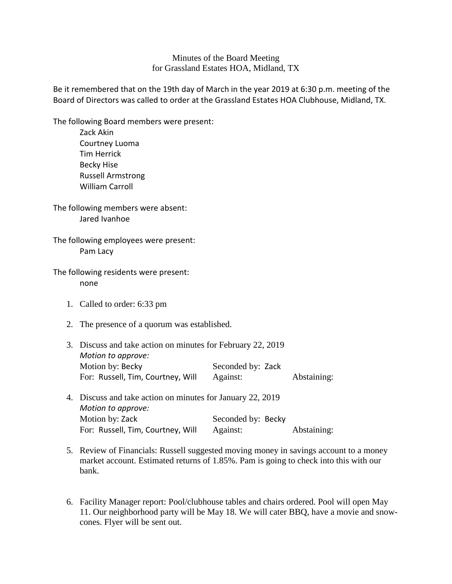## Minutes of the Board Meeting for Grassland Estates HOA, Midland, TX

Be it remembered that on the 19th day of March in the year 2019 at 6:30 p.m. meeting of the Board of Directors was called to order at the Grassland Estates HOA Clubhouse, Midland, TX.

The following Board members were present:

Zack Akin Courtney Luoma Tim Herrick Becky Hise Russell Armstrong William Carroll

The following members were absent: Jared Ivanhoe

The following employees were present: Pam Lacy

The following residents were present: none

- 1. Called to order: 6:33 pm
- 2. The presence of a quorum was established.

| 3. Discuss and take action on minutes for February 22, 2019 |                   |             |
|-------------------------------------------------------------|-------------------|-------------|
| Motion to approve:                                          |                   |             |
| Motion by: Becky                                            | Seconded by: Zack |             |
| For: Russell, Tim, Courtney, Will                           | Against:          | Abstaining: |
|                                                             |                   |             |

- 4. Discuss and take action on minutes for January 22, 2019 *Motion to approve:* Motion by: Zack Seconded by: Becky For: Russell, Tim, Courtney, Will Against: Abstaining:
- 5. Review of Financials: Russell suggested moving money in savings account to a money market account. Estimated returns of 1.85%. Pam is going to check into this with our bank.
- 6. Facility Manager report: Pool/clubhouse tables and chairs ordered. Pool will open May 11. Our neighborhood party will be May 18. We will cater BBQ, have a movie and snowcones. Flyer will be sent out.